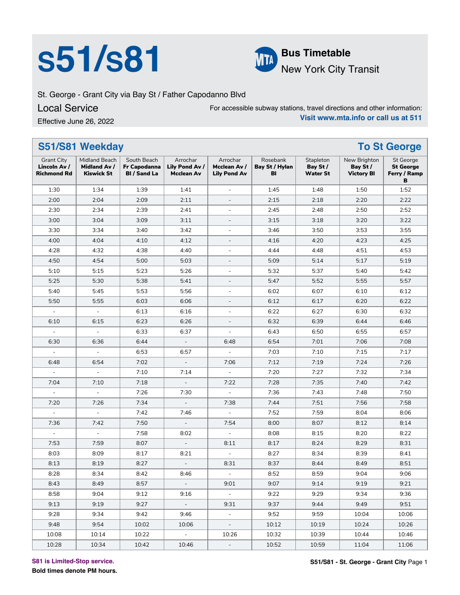## **S51/S81 Bus Timetable**<br>New York City



New York City Transit

St. George - Grant City via Bay St / Father Capodanno Blvd

### Local Service

Effective June 26, 2022

For accessible subway stations, travel directions and other information: **Visit www.mta.info or call us at 511**

|                                                         | S51/S81 Weekday                                           |                                                    |                                                 | <b>To St George</b>                             |                                  |                                          |                                               |                                                    |
|---------------------------------------------------------|-----------------------------------------------------------|----------------------------------------------------|-------------------------------------------------|-------------------------------------------------|----------------------------------|------------------------------------------|-----------------------------------------------|----------------------------------------------------|
| <b>Grant City</b><br>Lincoln Av /<br><b>Richmond Rd</b> | Midland Beach<br><b>Midland Av /</b><br><b>Kiswick St</b> | South Beach<br>Fr Capodanna<br><b>BI</b> / Sand La | Arrochar<br>Lily Pond Av /<br><b>Mcclean Av</b> | Arrochar<br>Mcclean Av /<br><b>Lily Pond Av</b> | Rosebank<br>Bay St / Hylan<br>BI | Stapleton<br>Bay St /<br><b>Water St</b> | New Brighton<br>Bay St /<br><b>Victory BI</b> | St George<br><b>St George</b><br>Ferry / Ramp<br>в |
| 1:30                                                    | 1:34                                                      | 1:39                                               | 1:41                                            | $\blacksquare$                                  | 1:45                             | 1:48                                     | 1:50                                          | 1:52                                               |
| 2:00                                                    | 2:04                                                      | 2:09                                               | 2:11                                            |                                                 | 2:15                             | 2:18                                     | 2:20                                          | 2:22                                               |
| 2:30                                                    | 2:34                                                      | 2:39                                               | 2:41                                            | ÷,                                              | 2:45                             | 2:48                                     | 2:50                                          | 2:52                                               |
| 3:00                                                    | 3:04                                                      | 3:09                                               | 3:11                                            | $\overline{\phantom{0}}$                        | 3:15                             | 3:18                                     | 3:20                                          | 3:22                                               |
| 3:30                                                    | 3:34                                                      | 3:40                                               | 3:42                                            | $\equiv$                                        | 3:46                             | 3:50                                     | 3:53                                          | 3:55                                               |
| 4:00                                                    | 4:04                                                      | 4:10                                               | 4:12                                            | $\overline{\phantom{a}}$                        | 4:16                             | 4:20                                     | 4:23                                          | 4:25                                               |
| 4:28                                                    | 4:32                                                      | 4:38                                               | 4:40                                            | Ξ                                               | 4:44                             | 4:48                                     | 4:51                                          | 4:53                                               |
| 4:50                                                    | 4:54                                                      | 5:00                                               | 5:03                                            | $\overline{\phantom{0}}$                        | 5:09                             | 5:14                                     | 5:17                                          | 5:19                                               |
| 5:10                                                    | 5:15                                                      | 5:23                                               | 5:26                                            | Ξ                                               | 5:32                             | 5:37                                     | 5:40                                          | 5:42                                               |
| 5:25                                                    | 5:30                                                      | 5:38                                               | 5:41                                            | $\overline{\phantom{a}}$                        | 5:47                             | 5:52                                     | 5:55                                          | 5:57                                               |
| 5:40                                                    | 5:45                                                      | 5:53                                               | 5:56                                            | ÷,                                              | 6:02                             | 6:07                                     | 6:10                                          | 6:12                                               |
| 5:50                                                    | 5:55                                                      | 6:03                                               | 6:06                                            | $\overline{\phantom{a}}$                        | 6:12                             | 6:17                                     | 6:20                                          | 6:22                                               |
| $\equiv$                                                | $\blacksquare$                                            | 6:13                                               | 6:16                                            | $\blacksquare$                                  | 6:22                             | 6:27                                     | 6:30                                          | 6:32                                               |
| 6:10                                                    | 6:15                                                      | 6:23                                               | 6:26                                            | $\overline{\phantom{0}}$                        | 6:32                             | 6:39                                     | 6:44                                          | 6:46                                               |
| $\blacksquare$                                          | $\overline{\phantom{a}}$                                  | 6:33                                               | 6:37                                            | $\overline{a}$                                  | 6:43                             | 6:50                                     | 6:55                                          | 6:57                                               |
| 6:30                                                    | 6:36                                                      | 6:44                                               | $\overline{\phantom{a}}$                        | 6:48                                            | 6:54                             | 7:01                                     | 7:06                                          | 7:08                                               |
| $\overline{\phantom{a}}$                                | $\blacksquare$                                            | 6:53                                               | 6:57                                            | $\overline{\phantom{a}}$                        | 7:03                             | 7:10                                     | 7:15                                          | 7:17                                               |
| 6:48                                                    | 6:54                                                      | 7:02                                               | $\Box$                                          | 7:06                                            | 7:12                             | 7:19                                     | 7:24                                          | 7:26                                               |
| $\overline{\phantom{a}}$                                | $\overline{\phantom{a}}$                                  | 7:10                                               | 7:14                                            |                                                 | 7:20                             | 7:27                                     | 7:32                                          | 7:34                                               |
| 7:04                                                    | 7:10                                                      | 7:18                                               | $\overline{\phantom{a}}$                        | 7:22                                            | 7:28                             | 7:35                                     | 7:40                                          | 7:42                                               |
| $\equiv$                                                | $\blacksquare$                                            | 7:26                                               | 7:30                                            | $\Box$                                          | 7:36                             | 7:43                                     | 7:48                                          | 7:50                                               |
| 7:20                                                    | 7:26                                                      | 7:34                                               | $\Box$                                          | 7:38                                            | 7:44                             | 7:51                                     | 7:56                                          | 7:58                                               |
| $\blacksquare$                                          | $\overline{\phantom{a}}$                                  | 7:42                                               | 7:46                                            | $\Box$                                          | 7:52                             | 7:59                                     | 8:04                                          | 8:06                                               |
| 7:36                                                    | 7:42                                                      | 7:50                                               | $\omega$                                        | 7:54                                            | 8:00                             | 8:07                                     | 8:12                                          | 8:14                                               |
| $\frac{1}{2}$                                           | $\Box$                                                    | 7:58                                               | 8:02                                            | $\overline{\phantom{a}}$                        | 8:08                             | 8:15                                     | 8:20                                          | 8:22                                               |
| 7:53                                                    | 7:59                                                      | 8:07                                               | $\blacksquare$                                  | 8:11                                            | 8:17                             | 8:24                                     | 8:29                                          | 8:31                                               |
| 8:03                                                    | 8:09                                                      | 8:17                                               | 8:21                                            | $\blacksquare$                                  | 8:27                             | 8:34                                     | 8:39                                          | 8:41                                               |
| 8:13                                                    | 8:19                                                      | 8:27                                               | $\overline{\phantom{a}}$                        | 8:31                                            | 8:37                             | 8:44                                     | 8:49                                          | 8:51                                               |
| 8:28                                                    | 8:34                                                      | 8:42                                               | 8:46                                            | $\equiv$                                        | 8:52                             | 8:59                                     | 9:04                                          | 9:06                                               |
| 8:43                                                    | 8:49                                                      | 8:57                                               | $\overline{\phantom{a}}$                        | 9:01                                            | 9:07                             | 9:14                                     | 9:19                                          | 9:21                                               |
| 8:58                                                    | 9:04                                                      | 9:12                                               | 9:16                                            | $\blacksquare$                                  | 9:22                             | 9:29                                     | 9:34                                          | 9:36                                               |
| 9:13                                                    | 9:19                                                      | 9:27                                               | $\omega_{\rm c}$                                | 9:31                                            | 9:37                             | 9:44                                     | 9:49                                          | 9:51                                               |
| 9:28                                                    | 9:34                                                      | 9:42                                               | 9:46                                            | $\omega$                                        | 9:52                             | 9:59                                     | 10:04                                         | 10:06                                              |
| 9:48                                                    | 9:54                                                      | 10:02                                              | 10:06                                           | ÷,                                              | 10:12                            | 10:19                                    | 10:24                                         | 10:26                                              |
| 10:08                                                   | 10:14                                                     | 10:22                                              | $\equiv$                                        | 10:26                                           | 10:32                            | 10:39                                    | 10:44                                         | 10:46                                              |
| 10:28                                                   | 10:34                                                     | 10:42                                              | 10:46                                           | $\blacksquare$                                  | 10:52                            | 10:59                                    | 11:04                                         | 11:06                                              |

**S81 is Limited-Stop service.**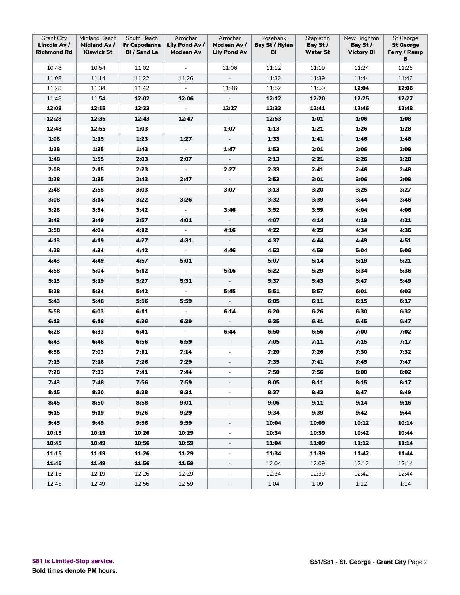| <b>Grant City</b><br>Lincoln Av /<br><b>Richmond Rd</b> | Midland Beach<br>Midland Av /<br><b>Kiswick St</b> | South Beach<br>Fr Capodanna<br><b>BI</b> / Sand La | Arrochar<br>Lily Pond Av /<br>Mcclean Av | Arrochar<br>Mcclean Av /<br><b>Lily Pond Av</b> | Rosebank<br>Bay St / Hylan<br>BI | Stapleton<br>Bay St /<br><b>Water St</b> | New Brighton<br>Bay St /<br><b>Victory BI</b> | St George<br><b>St George</b><br>Ferry / Ramp<br>в |
|---------------------------------------------------------|----------------------------------------------------|----------------------------------------------------|------------------------------------------|-------------------------------------------------|----------------------------------|------------------------------------------|-----------------------------------------------|----------------------------------------------------|
| 10:48                                                   | 10:54                                              | 11:02                                              | $\equiv$                                 | 11:06                                           | 11:12                            | 11:19                                    | 11:24                                         | 11:26                                              |
| 11:08                                                   | 11:14                                              | 11:22                                              | 11:26                                    | $\overline{\phantom{a}}$                        | 11:32                            | 11:39                                    | 11:44                                         | 11:46                                              |
| 11:28                                                   | 11:34                                              | 11:42                                              | $\blacksquare$                           | 11:46                                           | 11:52                            | 11:59                                    | 12:04                                         | 12:06                                              |
| 11:48                                                   | 11:54                                              | 12:02                                              | 12:06                                    | $\Box$                                          | 12:12                            | 12:20                                    | 12:25                                         | 12:27                                              |
| 12:08                                                   | 12:15                                              | 12:23                                              | $\omega$                                 | 12:27                                           | 12:33                            | 12:41                                    | 12:46                                         | 12:48                                              |
| 12:28                                                   | 12:35                                              | 12:43                                              | 12:47                                    | $\overline{\phantom{a}}$                        | 12:53                            | 1:01                                     | 1:06                                          | 1:08                                               |
| 12:48                                                   | 12:55                                              | 1:03                                               | $\equiv$                                 | 1:07                                            | 1:13                             | 1:21                                     | 1:26                                          | 1:28                                               |
| 1:08                                                    | 1:15                                               | 1:23                                               | 1:27                                     | $\overline{\phantom{a}}$                        | 1:33                             | 1:41                                     | 1:46                                          | 1:48                                               |
| 1:28                                                    | 1:35                                               | 1:43                                               | $\Box$                                   | 1:47                                            | 1:53                             | 2:01                                     | 2:06                                          | 2:08                                               |
| 1:48                                                    | 1:55                                               | 2:03                                               | 2:07                                     | $\overline{\phantom{a}}$                        | 2:13                             | 2:21                                     | 2:26                                          | 2:28                                               |
| 2:08                                                    | 2:15                                               | 2:23                                               | $\equiv$                                 | 2:27                                            | 2:33                             | 2:41                                     | 2:46                                          | 2:48                                               |
| 2:28                                                    | 2:35                                               | 2:43                                               | 2:47                                     | $\bar{\phantom{a}}$                             | 2:53                             | 3:01                                     | 3:06                                          | 3:08                                               |
| 2:48                                                    | 2:55                                               | 3:03                                               | $\Box$                                   | 3:07                                            | 3:13                             | 3:20                                     | 3:25                                          | 3:27                                               |
| 3:08                                                    | 3:14                                               | 3:22                                               | 3:26                                     | $\overline{\phantom{a}}$                        | 3:32                             | 3:39                                     | 3:44                                          | 3:46                                               |
| 3:28                                                    | 3:34                                               | 3:42                                               | $\blacksquare$                           | 3:46                                            | 3:52                             | 3:59                                     | 4:04                                          | 4:06                                               |
| 3:43                                                    | 3:49                                               | 3:57                                               | 4:01                                     | $\overline{\phantom{a}}$                        | 4:07                             | 4:14                                     | 4:19                                          | 4:21                                               |
| 3:58                                                    | 4:04                                               | 4:12                                               | $\equiv$                                 | 4:16                                            | 4:22                             | 4:29                                     | 4:34                                          | 4:36                                               |
| 4:13                                                    | 4:19                                               | 4:27                                               | 4:31                                     | $\overline{\phantom{a}}$                        | 4:37                             | 4:44                                     | 4:49                                          | 4:51                                               |
| 4:28                                                    | 4:34                                               | 4:42                                               | $\equiv$                                 | 4:46                                            | 4:52                             | 4:59                                     | 5:04                                          | 5:06                                               |
| 4:43                                                    | 4:49                                               | 4:57                                               | 5:01                                     | $\bar{\phantom{a}}$                             | 5:07                             | 5:14                                     | 5:19                                          | 5:21                                               |
| 4:58                                                    | 5:04                                               | 5:12                                               | $\overline{\phantom{a}}$                 | 5:16                                            | 5:22                             | 5:29                                     | 5:34                                          | 5:36                                               |
| 5:13                                                    | 5:19                                               | 5:27                                               | 5:31                                     | $\overline{\phantom{a}}$                        | 5:37                             | 5:43                                     | 5:47                                          | 5:49                                               |
| 5:28                                                    | 5:34                                               | 5:42                                               | $\overline{\phantom{a}}$                 | 5:45                                            | 5:51                             | 5:57                                     | 6:01                                          | 6:03                                               |
| 5:43                                                    | 5:48                                               | 5:56                                               | 5:59                                     | $\overline{\phantom{a}}$                        | 6:05                             | 6:11                                     | 6:15                                          | 6:17                                               |
| 5:58                                                    | 6:03                                               | 6:11                                               | $\blacksquare$                           | 6:14                                            | 6:20                             | 6:26                                     | 6:30                                          | 6:32                                               |
| 6:13                                                    | 6:18                                               | 6:26                                               | 6:29                                     | $\overline{\phantom{a}}$                        | 6:35                             | 6:41                                     | 6:45                                          | 6:47                                               |
| 6:28                                                    | 6:33                                               | 6:41                                               | $\blacksquare$                           | 6:44                                            | 6:50                             | 6:56                                     | 7:00                                          | 7:02                                               |
| 6:43                                                    | 6:48                                               | 6:56                                               | 6:59                                     | $\overline{\phantom{a}}$                        | 7:05                             | 7:11                                     | 7:15                                          | 7:17                                               |
| 6:58                                                    | 7:03                                               | 7:11                                               | 7:14                                     | $\blacksquare$                                  | 7:20                             | 7:26                                     | 7:30                                          | 7:32                                               |
| 7:13                                                    | 7:18                                               | 7:26                                               | 7:29                                     | ÷                                               | 7:35                             | 7:41                                     | 7:45                                          | 7:47                                               |
| 7:28                                                    | 7:33                                               | 7:41                                               | 7:44                                     | $\overline{\phantom{a}}$                        | 7:50                             | 7:56                                     | 8:00                                          | 8:02                                               |
| 7:43                                                    | 7:48                                               | 7:56                                               | 7:59                                     | $\overline{\phantom{a}}$                        | 8:05                             | 8:11                                     | 8:15                                          | 8:17                                               |
| 8:15                                                    | 8:20                                               | 8:28                                               | 8:31                                     | $\blacksquare$                                  | 8:37                             | 8:43                                     | 8:47                                          | 8:49                                               |
| 8:45                                                    | 8:50                                               | 8:58                                               | 9:01                                     | $\overline{\phantom{0}}$                        | 9:06                             | 9:11                                     | 9:14                                          | 9:16                                               |
| 9:15                                                    | 9:19                                               | 9:26                                               | 9:29                                     | $\blacksquare$                                  | 9:34                             | 9:39                                     | 9:42                                          | 9:44                                               |
| 9:45                                                    | 9:49                                               | 9:56                                               | 9:59                                     | $\overline{\phantom{a}}$                        | 10:04                            | 10:09                                    | 10:12                                         | 10:14                                              |
| 10:15                                                   | 10:19                                              | 10:26                                              | 10:29                                    | $\overline{\phantom{a}}$                        | 10:34                            | 10:39                                    | 10:42                                         | 10:44                                              |
| 10:45                                                   | 10:49                                              | 10:56                                              | 10:59                                    | $\overline{\phantom{a}}$                        | 11:04                            | 11:09                                    | 11:12                                         | 11:14                                              |
| 11:15                                                   | 11:19                                              | 11:26                                              | 11:29                                    | $\overline{\phantom{a}}$                        | 11:34                            | 11:39                                    | 11:42                                         | 11:44                                              |
| 11:45                                                   | 11:49                                              | 11:56                                              | 11:59                                    | $\overline{\phantom{0}}$                        | 12:04                            | 12:09                                    | 12:12                                         | 12:14                                              |
| 12:15                                                   | 12:19                                              | 12:26                                              | 12:29                                    | $\overline{\phantom{0}}$                        | 12:34                            | 12:39                                    | 12:42                                         | 12:44                                              |
| 12:45                                                   | 12:49                                              | 12:56                                              | 12:59                                    |                                                 | 1:04                             | 1:09                                     | 1:12                                          | 1:14                                               |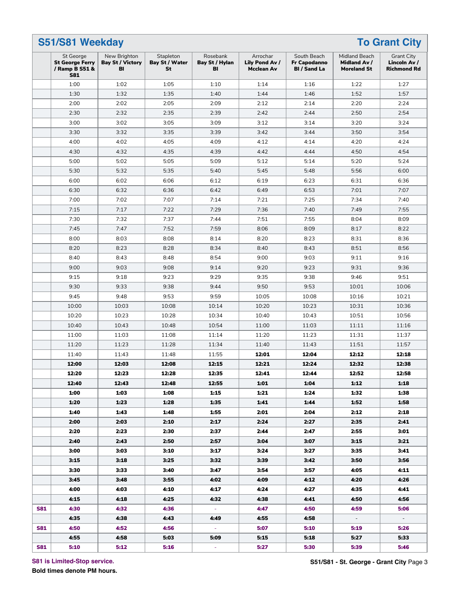| S51/S81 Weekday                                                     |                                               |                                          |                                  |                                                 |                                                           |                                                     | <b>To Grant City</b>                                    |
|---------------------------------------------------------------------|-----------------------------------------------|------------------------------------------|----------------------------------|-------------------------------------------------|-----------------------------------------------------------|-----------------------------------------------------|---------------------------------------------------------|
| St George<br><b>St George Ferry</b><br>/ Ramp B S51 &<br><b>S81</b> | New Brighton<br><b>Bay St / Victory</b><br>BI | Stapleton<br><b>Bay St / Water</b><br>St | Rosebank<br>Bay St / Hylan<br>BI | Arrochar<br>Lily Pond Av /<br><b>Mcclean Av</b> | South Beach<br><b>Fr Capodanno</b><br><b>BI</b> / Sand La | Midland Beach<br>Midland Av /<br><b>Moreland St</b> | <b>Grant City</b><br>Lincoln Av /<br><b>Richmond Rd</b> |
| 1:00                                                                | 1:02                                          | 1:05                                     | 1:10                             | 1:14                                            | 1:16                                                      | 1:22                                                | 1:27                                                    |
| 1:30                                                                | 1:32                                          | 1:35                                     | 1:40                             | 1:44                                            | 1:46                                                      | 1:52                                                | 1:57                                                    |
| 2:00                                                                | 2:02                                          | 2:05                                     | 2:09                             | 2:12                                            | 2:14                                                      | 2:20                                                | 2:24                                                    |
| 2:30                                                                | 2:32                                          | 2:35                                     | 2:39                             | 2:42                                            | 2:44                                                      | 2:50                                                | 2:54                                                    |
| 3:00                                                                | 3:02                                          | 3:05                                     | 3:09                             | 3:12                                            | 3:14                                                      | 3:20                                                | 3:24                                                    |
| 3:30                                                                | 3:32                                          | 3:35                                     | 3:39                             | 3:42                                            | 3:44                                                      | 3:50                                                | 3:54                                                    |
| 4:00                                                                | 4:02                                          | 4:05                                     | 4:09                             | 4:12                                            | 4:14                                                      | 4:20                                                | 4:24                                                    |
| 4:30                                                                | 4:32                                          | 4:35                                     | 4:39                             | 4:42                                            | 4:44                                                      | 4:50                                                | 4:54                                                    |
| 5:00                                                                | 5:02                                          | 5:05                                     | 5:09                             | 5:12                                            | 5:14                                                      | 5:20                                                | 5:24                                                    |
| 5:30                                                                | 5:32                                          | 5:35                                     | 5:40                             | 5:45                                            | 5:48                                                      | 5:56                                                | 6:00                                                    |
| 6:00                                                                | 6:02                                          | 6:06                                     | 6:12                             | 6:19                                            | 6:23                                                      | 6:31                                                | 6:36                                                    |
| 6:30                                                                | 6:32                                          | 6:36                                     | 6:42                             | 6:49                                            | 6:53                                                      | 7:01                                                | 7:07                                                    |
| 7:00                                                                | 7:02                                          | 7:07                                     | 7:14                             | 7:21                                            | 7:25                                                      | 7:34                                                | 7:40                                                    |
| 7:15                                                                | 7:17                                          | 7:22                                     | 7:29                             | 7:36                                            | 7:40                                                      | 7:49                                                | 7:55                                                    |
| 7:30                                                                | 7:32                                          | 7:37                                     | 7:44                             | 7:51                                            | 7:55                                                      | 8:04                                                | 8:09                                                    |
|                                                                     |                                               |                                          |                                  | 8:06                                            |                                                           |                                                     |                                                         |
| 7:45                                                                | 7:47                                          | 7:52                                     | 7:59                             |                                                 | 8:09                                                      | 8:17                                                | 8:22                                                    |
| 8:00                                                                | 8:03                                          | 8:08                                     | 8:14                             | 8:20                                            | 8:23                                                      | 8:31                                                | 8:36                                                    |
| 8:20                                                                | 8:23                                          | 8:28                                     | 8:34                             | 8:40                                            | 8:43                                                      | 8:51                                                | 8:56                                                    |
| 8:40                                                                | 8:43                                          | 8:48                                     | 8:54                             | 9:00                                            | 9:03                                                      | 9:11                                                | 9:16                                                    |
| 9:00                                                                | 9:03                                          | 9:08                                     | 9:14                             | 9:20                                            | 9:23                                                      | 9:31                                                | 9:36                                                    |
| 9:15                                                                | 9:18                                          | 9:23                                     | 9:29                             | 9:35                                            | 9:38                                                      | 9:46                                                | 9:51                                                    |
| 9:30                                                                | 9:33                                          | 9:38                                     | 9:44                             | 9:50                                            | 9:53                                                      | 10:01                                               | 10:06                                                   |
| 9:45                                                                | 9:48                                          | 9:53                                     | 9:59                             | 10:05                                           | 10:08                                                     | 10:16                                               | 10:21                                                   |
| 10:00                                                               | 10:03                                         | 10:08                                    | 10:14                            | 10:20                                           | 10:23                                                     | 10:31                                               | 10:36                                                   |
| 10:20                                                               | 10:23                                         | 10:28                                    | 10:34                            | 10:40                                           | 10:43                                                     | 10:51                                               | 10:56                                                   |
| 10:40                                                               | 10:43                                         | 10:48                                    | 10:54                            | 11:00                                           | 11:03                                                     | 11:11                                               | 11:16                                                   |
| 11:00                                                               | 11:03                                         | 11:08                                    | 11:14                            | 11:20                                           | 11:23                                                     | 11:31                                               | 11:37                                                   |
| 11:20                                                               | 11:23                                         | 11:28                                    | 11:34                            | 11:40                                           | 11:43                                                     | 11:51                                               | 11:57                                                   |
| 11:40                                                               | 11:43                                         | 11:48                                    | 11:55                            | 12:01                                           | 12:04                                                     | 12:12                                               | 12:18                                                   |
| 12:00                                                               | 12:03                                         | 12:08                                    | 12:15                            | 12:21                                           | 12:24                                                     | 12:32                                               | 12:38                                                   |
| 12:20                                                               | 12:23                                         | 12:28                                    | 12:35                            | 12:41                                           | 12:44                                                     | 12:52                                               | 12:58                                                   |
| 12:40                                                               | 12:43                                         | 12:48                                    | 12:55                            | 1:01                                            | 1:04                                                      | 1:12                                                | 1:18                                                    |
| 1:00                                                                | 1:03                                          | 1:08                                     | 1:15                             | 1:21                                            | 1:24                                                      | 1:32                                                | 1:38                                                    |
| 1:20                                                                | 1:23                                          | 1:28                                     | 1:35                             | 1:41                                            | 1:44                                                      | 1:52                                                | 1:58                                                    |
| 1:40                                                                | 1:43                                          | 1:48                                     | 1:55                             | 2:01                                            | 2:04                                                      | 2:12                                                | 2:18                                                    |
| 2:00                                                                | 2:03                                          | 2:10                                     | 2:17                             | 2:24                                            | 2:27                                                      | 2:35                                                | 2:41                                                    |
| 2:20                                                                | 2:23                                          | 2:30                                     | 2:37                             | 2:44                                            | 2:47                                                      | 2:55                                                | 3:01                                                    |
| 2:40                                                                | 2:43                                          | 2:50                                     | 2:57                             | 3:04                                            | 3:07                                                      | 3:15                                                | 3:21                                                    |
| 3:00                                                                | 3:03                                          | 3:10                                     | 3:17                             | 3:24                                            | 3:27                                                      | 3:35                                                | 3:41                                                    |
| 3:15                                                                | 3:18                                          | 3:25                                     | 3:32                             | 3:39                                            | 3:42                                                      | 3:50                                                | 3:56                                                    |
| 3:30                                                                | 3:33                                          | 3:40                                     | 3:47                             | 3:54                                            | 3:57                                                      | 4:05                                                | 4:11                                                    |
| 3:45                                                                | 3:48                                          | 3:55                                     | 4:02                             | 4:09                                            | 4:12                                                      | 4:20                                                | 4:26                                                    |
| 4:00                                                                | 4:03                                          | 4:10                                     | 4:17                             | 4:24                                            | 4.27                                                      | 4:35                                                | 4:41                                                    |
|                                                                     |                                               |                                          |                                  |                                                 |                                                           |                                                     |                                                         |
| 4:15                                                                | 4:18                                          | 4:25                                     | 4:32                             | 4:38                                            | 4:41                                                      | 4:50                                                | 4:56                                                    |
| 4:30                                                                | 4:32                                          | 4:36                                     | $\sim$                           | 4:47                                            | 4:50                                                      | 4:59                                                | 5:06                                                    |
| 4:35                                                                | 4:38                                          | 4:43                                     | 4:49                             | 4:55                                            | 4:58                                                      | $\sim$                                              | $\sim$                                                  |
| 4:50                                                                | 4:52                                          | 4:56                                     | $\sim$                           | 5:07                                            | 5:10                                                      | 5:19                                                | 5:26                                                    |
| 4:55                                                                | 4:58                                          | 5:03                                     | 5:09                             | 5:15                                            | 5:18                                                      | 5:27                                                | 5:33                                                    |
| 5:10                                                                | 5:12                                          | 5:16                                     | ÷                                | 5:27                                            | 5:30                                                      | 5:39                                                | 5:46                                                    |

**S81 is Limited-Stop service.**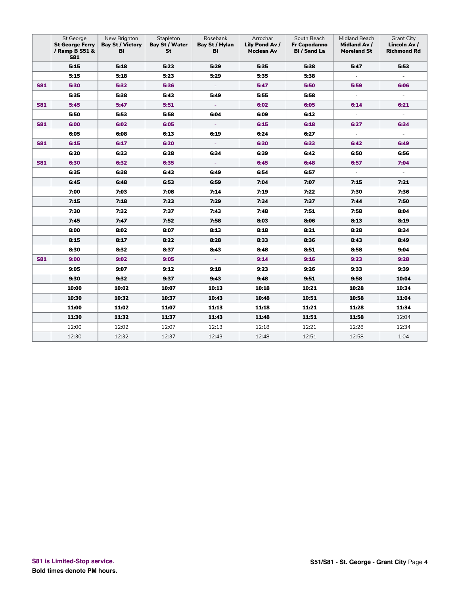|            | St George<br><b>St George Ferry</b><br>/ Ramp B S51 &<br><b>S81</b> | New Brighton<br><b>Bay St / Victory</b><br>BI | Stapleton<br>Bay St / Water<br>St | Rosebank<br>Bay St / Hylan<br>BI | Arrochar<br>Lily Pond Av /<br><b>Mcclean Av</b> | South Beach<br><b>Fr Capodanno</b><br><b>BI</b> / Sand La | Midland Beach<br><b>Midland Av /</b><br><b>Moreland St</b> | <b>Grant City</b><br>Lincoln Av /<br><b>Richmond Rd</b> |
|------------|---------------------------------------------------------------------|-----------------------------------------------|-----------------------------------|----------------------------------|-------------------------------------------------|-----------------------------------------------------------|------------------------------------------------------------|---------------------------------------------------------|
|            | 5:15                                                                | 5:18                                          | 5:23                              | 5:29                             | 5:35                                            | 5:38                                                      | 5:47                                                       | 5:53                                                    |
|            | 5:15                                                                | 5:18                                          | 5:23                              | 5:29                             | 5:35                                            | 5:38                                                      | $\sim$                                                     | $\overline{\phantom{a}}$                                |
| <b>S81</b> | 5:30                                                                | 5:32                                          | 5:36                              | $\omega$                         | 5:47                                            | 5:50                                                      | 5:59                                                       | 6:06                                                    |
|            | 5:35                                                                | 5:38                                          | 5:43                              | 5:49                             | 5:55                                            | 5:58                                                      | $\overline{\phantom{a}}$                                   |                                                         |
| <b>S81</b> | 5:45                                                                | 5:47                                          | 5:51                              | ÷                                | 6:02                                            | 6:05                                                      | 6:14                                                       | 6:21                                                    |
|            | 5:50                                                                | 5:53                                          | 5:58                              | 6:04                             | 6:09                                            | 6:12                                                      | $\omega$                                                   | $\omega$                                                |
| <b>S81</b> | 6:00                                                                | 6:02                                          | 6:05                              | $\overline{\phantom{a}}$         | 6:15                                            | 6:18                                                      | 6:27                                                       | 6:34                                                    |
|            | 6:05                                                                | 6:08                                          | 6:13                              | 6:19                             | 6:24                                            | 6:27                                                      | $\overline{\phantom{a}}$                                   | $\overline{\phantom{a}}$                                |
| <b>S81</b> | 6:15                                                                | 6:17                                          | 6:20                              | $\omega$                         | 6:30                                            | 6:33                                                      | 6:42                                                       | 6:49                                                    |
|            | 6:20                                                                | 6:23                                          | 6:28                              | 6:34                             | 6:39                                            | 6:42                                                      | 6:50                                                       | 6:56                                                    |
| <b>S81</b> | 6:30                                                                | 6:32                                          | 6:35                              | ÷                                | 6:45                                            | 6:48                                                      | 6:57                                                       | 7:04                                                    |
|            | 6:35                                                                | 6:38                                          | 6:43                              | 6:49                             | 6:54                                            | 6:57                                                      | $\mathcal{L}_{\mathcal{A}}$                                | $\overline{\phantom{a}}$                                |
|            | 6:45                                                                | 6:48                                          | 6:53                              | 6:59                             | 7:04                                            | 7:07                                                      | 7:15                                                       | 7:21                                                    |
|            | 7:00                                                                | 7:03                                          | 7:08                              | 7:14                             | 7:19                                            | 7:22                                                      | 7:30                                                       | 7:36                                                    |
|            | 7:15                                                                | 7:18                                          | 7:23                              | 7:29                             | 7:34                                            | 7:37                                                      | 7:44                                                       | 7:50                                                    |
|            | 7:30                                                                | 7:32                                          | 7:37                              | 7:43                             | 7:48                                            | 7:51                                                      | 7:58                                                       | 8:04                                                    |
|            | 7:45                                                                | 7:47                                          | 7:52                              | 7:58                             | 8:03                                            | 8:06                                                      | 8:13                                                       | 8:19                                                    |
|            | 8:00                                                                | 8:02                                          | 8:07                              | 8:13                             | 8:18                                            | 8:21                                                      | 8:28                                                       | 8:34                                                    |
|            | 8:15                                                                | 8:17                                          | 8:22                              | 8:28                             | 8:33                                            | 8:36                                                      | 8:43                                                       | 8:49                                                    |
|            | 8:30                                                                | 8:32                                          | 8:37                              | 8:43                             | 8:48                                            | 8:51                                                      | 8:58                                                       | 9:04                                                    |
| <b>S81</b> | 9:00                                                                | 9:02                                          | 9:05                              | $\omega$                         | 9:14                                            | 9:16                                                      | 9:23                                                       | 9:28                                                    |
|            | 9:05                                                                | 9:07                                          | 9:12                              | 9:18                             | 9:23                                            | 9:26                                                      | 9:33                                                       | 9:39                                                    |
|            | 9:30                                                                | 9:32                                          | 9:37                              | 9:43                             | 9:48                                            | 9:51                                                      | 9:58                                                       | 10:04                                                   |
|            | 10:00                                                               | 10:02                                         | 10:07                             | 10:13                            | 10:18                                           | 10:21                                                     | 10:28                                                      | 10:34                                                   |
|            | 10:30                                                               | 10:32                                         | 10:37                             | 10:43                            | 10:48                                           | 10:51                                                     | 10:58                                                      | 11:04                                                   |
|            | 11:00                                                               | 11:02                                         | 11:07                             | 11:13                            | 11:18                                           | 11:21                                                     | 11:28                                                      | 11:34                                                   |
|            | 11:30                                                               | 11:32                                         | 11:37                             | 11:43                            | 11:48                                           | 11:51                                                     | 11:58                                                      | 12:04                                                   |
|            | 12:00                                                               | 12:02                                         | 12:07                             | 12:13                            | 12:18                                           | 12:21                                                     | 12:28                                                      | 12:34                                                   |
|            | 12:30                                                               | 12:32                                         | 12:37                             | 12:43                            | 12:48                                           | 12:51                                                     | 12:58                                                      | 1:04                                                    |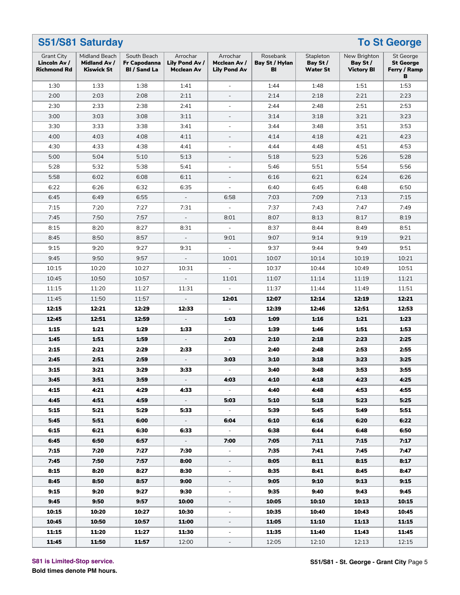|                                                         | S51/S81 Saturday<br><b>To St George</b>            |                                                    |                                          |                                                 |                                  |                                          |                                               |                                                    |  |  |  |  |
|---------------------------------------------------------|----------------------------------------------------|----------------------------------------------------|------------------------------------------|-------------------------------------------------|----------------------------------|------------------------------------------|-----------------------------------------------|----------------------------------------------------|--|--|--|--|
| <b>Grant City</b><br>Lincoln Av /<br><b>Richmond Rd</b> | Midland Beach<br>Midland Av /<br><b>Kiswick St</b> | South Beach<br>Fr Capodanna<br><b>BI</b> / Sand La | Arrochar<br>Lily Pond Av /<br>Mcclean Av | Arrochar<br>Mcclean Av /<br><b>Lily Pond Av</b> | Rosebank<br>Bay St / Hylan<br>BI | Stapleton<br>Bay St /<br><b>Water St</b> | New Brighton<br>Bay St /<br><b>Victory BI</b> | St George<br><b>St George</b><br>Ferry / Ramp<br>в |  |  |  |  |
| 1:30                                                    | 1:33                                               | 1:38                                               | 1:41                                     | $\bar{\phantom{a}}$                             | 1:44                             | 1:48                                     | 1:51                                          | 1:53                                               |  |  |  |  |
| 2:00                                                    | 2:03                                               | 2:08                                               | 2:11                                     | $\bar{a}$                                       | 2:14                             | 2:18                                     | 2:21                                          | 2:23                                               |  |  |  |  |
| 2:30                                                    | 2:33                                               | 2:38                                               | 2:41                                     | $\overline{a}$                                  | 2:44                             | 2:48                                     | 2:51                                          | 2:53                                               |  |  |  |  |
| 3:00                                                    | 3:03                                               | 3:08                                               | 3:11                                     | $\qquad \qquad \blacksquare$                    | 3:14                             | 3:18                                     | 3:21                                          | 3:23                                               |  |  |  |  |
| 3:30                                                    | 3:33                                               | 3:38                                               | 3:41                                     | $\blacksquare$                                  | 3:44                             | 3:48                                     | 3:51                                          | 3:53                                               |  |  |  |  |
| 4:00                                                    | 4:03                                               | 4:08                                               | 4:11                                     | $\blacksquare$                                  | 4:14                             | 4:18                                     | 4:21                                          | 4:23                                               |  |  |  |  |
| 4:30                                                    | 4:33                                               | 4:38                                               | 4:41                                     |                                                 | 4:44                             | 4:48                                     | 4:51                                          | 4:53                                               |  |  |  |  |
| 5:00                                                    | 5:04                                               | 5:10                                               | 5:13                                     | $\overline{\phantom{a}}$                        | 5:18                             | 5:23                                     | 5:26                                          | 5:28                                               |  |  |  |  |
| 5:28                                                    | 5:32                                               | 5:38                                               | 5:41                                     | $\blacksquare$                                  | 5:46                             | 5:51                                     | 5:54                                          | 5:56                                               |  |  |  |  |
| 5:58                                                    | 6:02                                               | 6:08                                               | 6:11                                     | $\blacksquare$                                  | 6:16                             | 6:21                                     | 6:24                                          | 6:26                                               |  |  |  |  |
| 6:22                                                    | 6:26                                               | 6:32                                               | 6:35                                     |                                                 | 6:40                             | 6:45                                     | 6:48                                          | 6:50                                               |  |  |  |  |
| 6:45                                                    | 6:49                                               | 6:55                                               | $\overline{\phantom{a}}$                 | 6:58                                            | 7:03                             | 7:09                                     | 7:13                                          | 7:15                                               |  |  |  |  |
| 7:15                                                    | 7:20                                               | 7:27                                               | 7:31                                     | $\bar{\phantom{a}}$                             | 7:37                             | 7:43                                     | 7:47                                          | 7:49                                               |  |  |  |  |
| 7:45                                                    | 7:50                                               | 7:57                                               | $\equiv$                                 | 8:01                                            | 8:07                             | 8:13                                     | 8:17                                          | 8:19                                               |  |  |  |  |
| 8:15                                                    | 8:20                                               | 8:27                                               | 8:31                                     |                                                 | 8:37                             | 8:44                                     | 8:49                                          | 8:51                                               |  |  |  |  |
| 8:45                                                    | 8:50                                               | 8:57                                               | $\overline{\phantom{a}}$                 | 9:01                                            | 9:07                             | 9:14                                     | 9:19                                          | 9:21                                               |  |  |  |  |
| 9:15                                                    | 9:20                                               | 9:27                                               | 9:31                                     | $\bar{\phantom{a}}$                             | 9:37                             | 9:44                                     | 9:49                                          | 9:51                                               |  |  |  |  |
| 9:45                                                    | 9:50                                               | 9:57                                               | $\equiv$                                 | 10:01                                           | 10:07                            | 10:14                                    | 10:19                                         | 10:21                                              |  |  |  |  |
| 10:15                                                   | 10:20                                              | 10:27                                              | 10:31                                    |                                                 | 10:37                            | 10:44                                    | 10:49                                         | 10:51                                              |  |  |  |  |
| 10:45                                                   | 10:50                                              | 10:57                                              | $\blacksquare$                           | 11:01                                           | 11:07                            | 11:14                                    | 11:19                                         | 11:21                                              |  |  |  |  |
| 11:15                                                   | 11:20                                              | 11:27                                              | 11:31                                    | $\overline{a}$                                  | 11:37                            | 11:44                                    | 11:49                                         | 11:51                                              |  |  |  |  |
| 11:45                                                   | 11:50                                              | 11:57                                              | $\bar{\phantom{a}}$                      | 12:01                                           | 12:07                            | 12:14                                    | 12:19                                         | 12:21                                              |  |  |  |  |
| 12:15                                                   | 12:21                                              | 12:29                                              | 12:33                                    |                                                 | 12:39                            | 12:46                                    | 12:51                                         | 12:53                                              |  |  |  |  |
| 12:45                                                   | 12:51                                              | 12:59                                              |                                          | 1:03                                            | 1:09                             | 1:16                                     | 1:21                                          | 1:23                                               |  |  |  |  |
| 1:15                                                    | 1:21                                               | 1:29                                               | 1:33                                     |                                                 | 1:39                             | 1:46                                     | 1:51                                          | 1:53                                               |  |  |  |  |
| 1:45                                                    | 1:51                                               | 1:59                                               | $\equiv$                                 | 2:03                                            | 2:10                             | 2:18                                     | 2:23                                          | 2:25                                               |  |  |  |  |
| 2:15                                                    | 2:21                                               | 2:29                                               | 2:33                                     |                                                 | 2:40                             | 2:48                                     | 2:53                                          | 2:55                                               |  |  |  |  |
| 2:45                                                    | 2:51                                               | 2:59                                               |                                          | 3:03                                            | 3:10                             | 3:18                                     | 3:23                                          | 3:25                                               |  |  |  |  |
| 3:15                                                    | 3:21                                               | 3:29                                               | 3:33                                     |                                                 | 3:40                             | 3:48                                     | 3:53                                          | 3:55                                               |  |  |  |  |
| 3:45                                                    | 3:51                                               | 3:59                                               | $\sim$                                   | 4:03                                            | 4:10                             | 4:18                                     | 4:23                                          | 4:25                                               |  |  |  |  |
| 4:15                                                    | 4:21                                               | 4:29                                               | 4:33                                     |                                                 | 4:40                             | 4:48                                     | 4:53                                          | 4:55                                               |  |  |  |  |
| 4:45                                                    | 4:51                                               | 4:59                                               | $\sim$                                   | 5:03                                            | 5:10                             | 5:18                                     | 5:23                                          | 5:25                                               |  |  |  |  |
| 5:15                                                    | 5:21                                               | 5:29                                               | 5:33                                     | $\omega_{\rm c}$                                | 5:39                             | 5:45                                     | 5:49                                          | 5:51                                               |  |  |  |  |
| 5:45                                                    | 5:51                                               | 6:00                                               | $\mathcal{L}_{\mathcal{A}}$              | 6:04                                            | 6:10                             | 6:16                                     | 6:20                                          | 6:22                                               |  |  |  |  |
| 6:15                                                    | 6:21                                               | 6:30                                               | 6:33                                     |                                                 | 6:38                             | 6:44                                     | 6:48                                          | 6:50                                               |  |  |  |  |
| 6:45                                                    | 6:50                                               | 6:57                                               | $\equiv$                                 | 7:00                                            | 7:05                             | 7:11                                     | 7:15                                          | 7:17                                               |  |  |  |  |
| 7:15                                                    | 7:20                                               | 7:27                                               | 7:30                                     | $\sim$                                          | 7:35                             | 7:41                                     | 7:45                                          | 7:47                                               |  |  |  |  |
| 7:45                                                    | 7:50                                               | 7:57                                               | 8:00                                     | $\overline{\phantom{a}}$                        | 8:05                             | 8:11                                     | 8:15                                          | 8:17                                               |  |  |  |  |
| 8:15                                                    | 8:20                                               | 8:27                                               | 8:30                                     | ÷,                                              | 8:35                             | 8:41                                     | 8:45                                          | 8:47                                               |  |  |  |  |
| 8:45                                                    | 8:50                                               | 8:57                                               | 9:00                                     | $\overline{\phantom{a}}$                        | 9:05                             | 9:10                                     | 9:13                                          | 9:15                                               |  |  |  |  |
| 9:15                                                    | 9:20                                               | 9:27                                               | 9:30                                     | $\blacksquare$                                  | 9:35                             | 9:40                                     | 9:43                                          | 9:45                                               |  |  |  |  |
| 9:45                                                    | 9:50                                               | 9:57                                               | 10:00                                    | $\overline{\phantom{a}}$                        | 10:05                            | 10:10                                    | 10:13                                         | 10:15                                              |  |  |  |  |
| 10:15                                                   | 10:20                                              | 10:27                                              | 10:30                                    | ÷,                                              | 10:35                            | 10:40                                    | 10:43                                         | 10:45                                              |  |  |  |  |
| 10:45                                                   | 10:50                                              | 10:57                                              | 11:00                                    | $\overline{\phantom{a}}$                        | 11:05                            | 11:10                                    | 11:13                                         | 11:15                                              |  |  |  |  |
| 11:15                                                   | 11:20                                              | 11:27                                              | 11:30                                    | $\overline{\phantom{a}}$                        | 11:35                            | 11:40                                    | 11:43                                         | 11:45                                              |  |  |  |  |
| 11:45                                                   | 11:50                                              | 11:57                                              | 12:00                                    |                                                 | 12:05                            | 12:10                                    | 12:13                                         | 12:15                                              |  |  |  |  |

**S81 is Limited-Stop service.**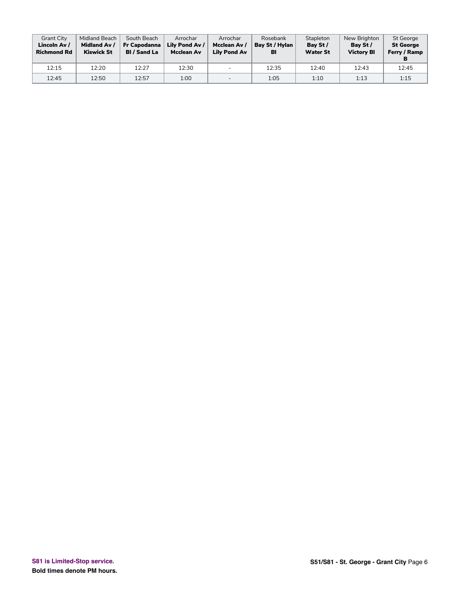| <b>Grant City</b><br>Lincoln Av /<br><b>Richmond Rd</b> | Midland Beach<br><b>Midland Av /</b><br><b>Kiswick St</b> | South Beach<br>Fr Capodanna<br><b>BI</b> / Sand La | Arrochar<br>Lily Pond Av /<br><b>Mcclean Av</b> | Arrochar<br>Mcclean Av /<br><b>Lily Pond Av</b> | Rosebank<br>Bay St / Hylan<br>BI | Stapleton<br>Bay St /<br><b>Water St</b> | New Brighton<br>Bay St /<br><b>Victory BI</b> | St George<br><b>St George</b><br>Ferry / Ramp |
|---------------------------------------------------------|-----------------------------------------------------------|----------------------------------------------------|-------------------------------------------------|-------------------------------------------------|----------------------------------|------------------------------------------|-----------------------------------------------|-----------------------------------------------|
| 12:15                                                   | 12:20                                                     | 12:27                                              | 12:30                                           | $\overline{\phantom{0}}$                        | 12:35                            | 12:40                                    | 12:43                                         | 12:45                                         |
| 12:45                                                   | 12:50                                                     | 12:57                                              | 1:00                                            | $\overline{\phantom{0}}$                        | 1:05                             | 1:10                                     | 1:13                                          | 1:15                                          |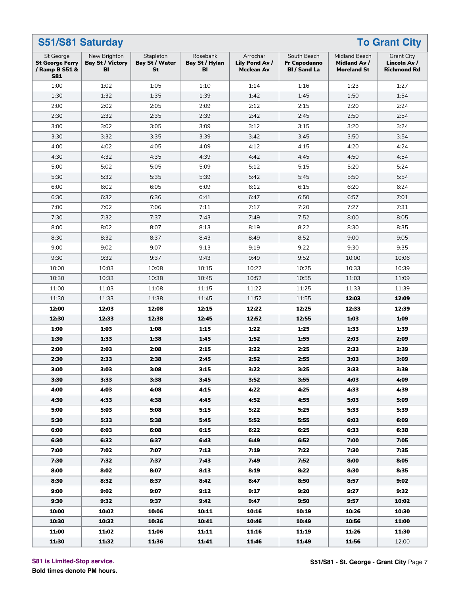| S51/S81 Saturday<br><b>To Grant City</b>                            |                                               |                                          |                                  |                                          |                                                    |                                                     |                                                         |  |  |  |  |
|---------------------------------------------------------------------|-----------------------------------------------|------------------------------------------|----------------------------------|------------------------------------------|----------------------------------------------------|-----------------------------------------------------|---------------------------------------------------------|--|--|--|--|
| St George<br><b>St George Ferry</b><br>/ Ramp B S51 &<br><b>S81</b> | New Brighton<br><b>Bay St / Victory</b><br>BI | Stapleton<br><b>Bay St / Water</b><br>St | Rosebank<br>Bay St / Hylan<br>BI | Arrochar<br>Lily Pond Av /<br>Mcclean Av | South Beach<br>Fr Capodanno<br><b>BI</b> / Sand La | Midland Beach<br>Midland Av /<br><b>Moreland St</b> | <b>Grant City</b><br>Lincoln Av /<br><b>Richmond Rd</b> |  |  |  |  |
| 1:00                                                                | 1:02                                          | 1:05                                     | 1:10                             | 1:14                                     | 1:16                                               | 1:23                                                | 1:27                                                    |  |  |  |  |
| 1:30                                                                | 1:32                                          | 1:35                                     | 1:39                             | 1:42                                     | 1:45                                               | 1:50                                                | 1:54                                                    |  |  |  |  |
| 2:00                                                                | 2:02                                          | 2:05                                     | 2:09                             | 2:12                                     | 2:15                                               | 2:20                                                | 2:24                                                    |  |  |  |  |
| 2:30                                                                | 2:32                                          | 2:35                                     | 2:39                             | 2:42                                     | 2:45                                               | 2:50                                                | 2:54                                                    |  |  |  |  |
| 3:00                                                                | 3:02                                          | 3:05                                     | 3:09                             | 3:12                                     | 3:15                                               | 3:20                                                | 3:24                                                    |  |  |  |  |
| 3:30                                                                | 3:32                                          | 3:35                                     | 3:39                             | 3:42                                     | 3:45                                               | 3:50                                                | 3:54                                                    |  |  |  |  |
| 4:00                                                                | 4:02                                          | 4:05                                     | 4:09                             | 4:12                                     | 4:15                                               | 4:20                                                | 4:24                                                    |  |  |  |  |
| 4:30                                                                | 4:32                                          | 4:35                                     | 4:39                             | 4:42                                     | 4:45                                               | 4:50                                                | 4:54                                                    |  |  |  |  |
| 5:00                                                                | 5:02                                          | 5:05                                     | 5:09                             | 5:12                                     | 5:15                                               | 5:20                                                | 5:24                                                    |  |  |  |  |
| 5:30                                                                | 5:32                                          | 5:35                                     | 5:39                             | 5:42                                     | 5:45                                               | 5:50                                                | 5:54                                                    |  |  |  |  |
| 6:00                                                                | 6:02                                          | 6:05                                     | 6:09                             | 6:12                                     | 6:15                                               | 6:20                                                | 6:24                                                    |  |  |  |  |
| 6:30                                                                | 6:32                                          | 6:36                                     | 6:41                             | 6:47                                     | 6:50                                               | 6:57                                                | 7:01                                                    |  |  |  |  |
| 7:00                                                                | 7:02                                          | 7:06                                     | 7:11                             | 7:17                                     | 7:20                                               | 7:27                                                | 7:31                                                    |  |  |  |  |
| 7:30                                                                | 7:32                                          | 7:37                                     | 7:43                             | 7:49                                     | 7:52                                               | 8:00                                                | 8:05                                                    |  |  |  |  |
| 8:00                                                                | 8:02                                          | 8:07                                     | 8:13                             | 8:19                                     | 8:22                                               | 8:30                                                | 8:35                                                    |  |  |  |  |
| 8:30                                                                | 8:32                                          | 8:37                                     | 8:43                             | 8:49                                     | 8:52                                               | 9:00                                                | 9:05                                                    |  |  |  |  |
| 9:00                                                                | 9:02                                          | 9:07                                     | 9:13                             | 9:19                                     | 9:22                                               | 9:30                                                | 9:35                                                    |  |  |  |  |
| 9:30                                                                | 9:32                                          | 9:37                                     | 9:43                             | 9:49                                     | 9:52                                               | 10:00                                               | 10:06                                                   |  |  |  |  |
| 10:00                                                               | 10:03                                         | 10:08                                    | 10:15                            | 10:22                                    | 10:25                                              | 10:33                                               | 10:39                                                   |  |  |  |  |
| 10:30                                                               | 10:33                                         | 10:38                                    | 10:45                            | 10:52                                    | 10:55                                              | 11:03                                               | 11:09                                                   |  |  |  |  |
| 11:00                                                               | 11:03                                         | 11:08                                    | 11:15                            | 11:22                                    | 11:25                                              | 11:33                                               | 11:39                                                   |  |  |  |  |
| 11:30                                                               | 11:33                                         | 11:38                                    | 11:45                            | 11:52                                    | 11:55                                              | 12:03                                               | 12:09                                                   |  |  |  |  |
| 12:00                                                               | 12:03                                         | 12:08                                    | 12:15                            | 12:22                                    | 12:25                                              | 12:33                                               | 12:39                                                   |  |  |  |  |
| 12:30                                                               | 12:33                                         | 12:38                                    | 12:45                            | 12:52                                    | 12:55                                              | 1:03                                                | 1:09                                                    |  |  |  |  |
| 1:00                                                                | 1:03                                          | 1:08                                     | 1:15                             | 1:22                                     | 1:25                                               | 1:33                                                | 1:39                                                    |  |  |  |  |
| 1:30                                                                | 1:33                                          | 1:38                                     | 1:45                             | 1:52                                     | 1:55                                               | 2:03                                                | 2:09                                                    |  |  |  |  |
| 2:00                                                                | 2:03                                          | 2:08                                     | 2:15                             | 2:22                                     | 2:25                                               | 2:33                                                | 2:39                                                    |  |  |  |  |
| 2:30                                                                | 2:33                                          | 2:38                                     | 2:45                             | 2:52                                     | 2:55                                               | 3:03                                                | 3:09                                                    |  |  |  |  |
| 3:00                                                                | 3:03                                          | 3:08                                     | 3:15                             | 3:22                                     | 3:25                                               | 3:33                                                | 3:39                                                    |  |  |  |  |
| 3:30                                                                | 3:33                                          | 3:38                                     | 3:45                             | 3:52                                     | 3:55                                               | 4:03                                                | 4:09                                                    |  |  |  |  |
| 4:00                                                                | 4:03                                          | 4:08                                     | 4:15                             | 4:22                                     | 4:25                                               | 4:33                                                | 4:39                                                    |  |  |  |  |
| 4:30                                                                | 4:33                                          | 4:38                                     | 4:45                             | 4:52                                     | 4:55                                               | 5:03                                                | 5:09                                                    |  |  |  |  |
| 5:00                                                                | 5:03                                          | 5:08                                     | 5:15                             | 5:22                                     | 5:25                                               | 5:33                                                | 5:39                                                    |  |  |  |  |
| 5:30                                                                | 5:33                                          | 5:38                                     | 5:45                             | 5:52                                     | 5:55                                               | 6:03                                                | 6:09                                                    |  |  |  |  |
| 6:00                                                                | 6:03                                          | 6:08                                     | 6:15                             | 6:22                                     | 6:25                                               | 6:33                                                | 6:38                                                    |  |  |  |  |
| 6:30                                                                | 6:32                                          | 6:37                                     | 6:43                             | 6:49                                     | 6:52                                               | 7:00                                                | 7:05                                                    |  |  |  |  |
| 7:00                                                                | 7:02                                          | 7:07                                     | 7:13                             | 7:19                                     | 7:22                                               | 7:30                                                | 7:35                                                    |  |  |  |  |
| 7:30                                                                | 7:32                                          | 7:37                                     | 7:43                             | 7:49                                     | 7:52                                               | 8:00                                                | 8:05                                                    |  |  |  |  |
| 8:00                                                                | 8:02                                          | 8:07                                     | 8:13                             | 8:19                                     | 8:22                                               | 8:30                                                | 8:35                                                    |  |  |  |  |
| 8:30                                                                | 8:32                                          | 8:37                                     | 8:42                             | 8:47                                     | 8:50                                               | 8:57                                                | 9:02                                                    |  |  |  |  |
| 9:00                                                                | 9:02                                          | 9:07                                     | 9:12                             | 9:17                                     | 9:20                                               | 9:27                                                | 9:32                                                    |  |  |  |  |
| 9:30                                                                | 9:32                                          | 9:37                                     | 9:42                             | 9:47                                     | 9:50                                               | 9:57                                                | 10:02                                                   |  |  |  |  |
| 10:00                                                               | 10:02                                         | 10:06                                    | 10:11                            | 10:16                                    | 10:19                                              | 10:26                                               | 10:30                                                   |  |  |  |  |
| 10:30                                                               | 10:32                                         | 10:36                                    | 10:41                            | 10:46                                    | 10:49                                              | 10:56                                               | 11:00                                                   |  |  |  |  |
| 11:00                                                               | 11:02                                         | 11:06                                    | 11:11                            | 11:16                                    | 11:19                                              | 11:26                                               | 11:30                                                   |  |  |  |  |
| 11:30                                                               | 11:32                                         | 11:36                                    | 11:41                            | 11:46                                    | 11:49                                              | 11:56                                               | 12:00                                                   |  |  |  |  |

**S81 is Limited-Stop service.**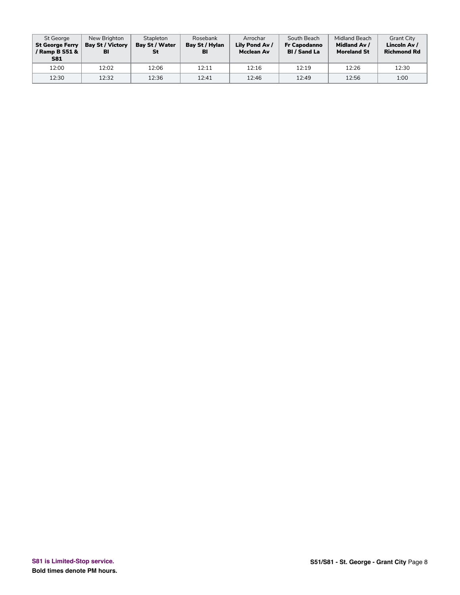| St George<br><b>St George Ferry</b><br>/ Ramp B S51 &<br><b>S81</b> | New Brighton<br><b>Bay St / Victory</b><br>BI | Stapleton<br>Bay St / Water<br>St | Rosebank<br>Bay St / Hylan<br>BI | Arrochar<br>Lily Pond Av /<br><b>Mcclean Av</b> | South Beach<br><b>Fr Capodanno</b><br><b>BI</b> / Sand La | Midland Beach<br>Midland Av /<br><b>Moreland St</b> | <b>Grant City</b><br>Lincoln Av /<br><b>Richmond Rd</b> |
|---------------------------------------------------------------------|-----------------------------------------------|-----------------------------------|----------------------------------|-------------------------------------------------|-----------------------------------------------------------|-----------------------------------------------------|---------------------------------------------------------|
| 12:00                                                               | 12:02                                         | 12:06                             | 12:11                            | 12:16                                           | 12:19                                                     | 12:26                                               | 12:30                                                   |
| 12:30                                                               | 12:32                                         | 12:36                             | 12:41                            | 12:46                                           | 12:49                                                     | 12:56                                               | 1:00                                                    |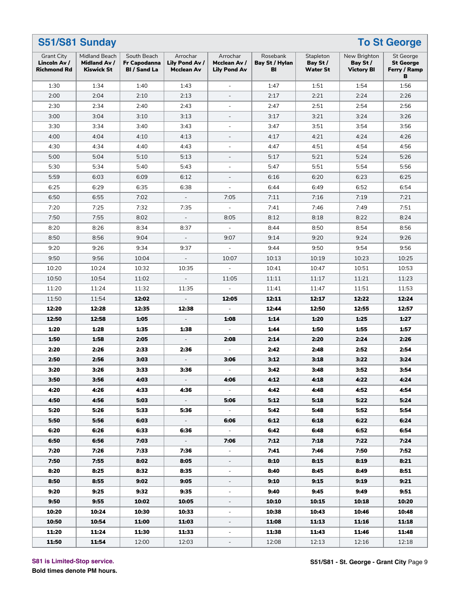|                                                         | S51/S81 Sunday<br><b>To St George</b>              |                                                    |                                          |                                                 |                                  |                                          |                                               |                                                    |  |  |  |  |
|---------------------------------------------------------|----------------------------------------------------|----------------------------------------------------|------------------------------------------|-------------------------------------------------|----------------------------------|------------------------------------------|-----------------------------------------------|----------------------------------------------------|--|--|--|--|
| <b>Grant City</b><br>Lincoln Av /<br><b>Richmond Rd</b> | Midland Beach<br>Midland Av /<br><b>Kiswick St</b> | South Beach<br>Fr Capodanna<br><b>BI</b> / Sand La | Arrochar<br>Lily Pond Av /<br>Mcclean Av | Arrochar<br>Mcclean Av /<br><b>Lily Pond Av</b> | Rosebank<br>Bay St / Hylan<br>BI | Stapleton<br>Bay St /<br><b>Water St</b> | New Brighton<br>Bay St /<br><b>Victory BI</b> | St George<br><b>St George</b><br>Ferry / Ramp<br>в |  |  |  |  |
| 1:30                                                    | 1:34                                               | 1:40                                               | 1:43                                     | $\bar{\phantom{a}}$                             | 1:47                             | 1:51                                     | 1:54                                          | 1:56                                               |  |  |  |  |
| 2:00                                                    | 2:04                                               | 2:10                                               | 2:13                                     |                                                 | 2:17                             | 2:21                                     | 2:24                                          | 2:26                                               |  |  |  |  |
| 2:30                                                    | 2:34                                               | 2:40                                               | 2:43                                     | $\overline{a}$                                  | 2:47                             | 2:51                                     | 2:54                                          | 2:56                                               |  |  |  |  |
| 3:00                                                    | 3:04                                               | 3:10                                               | 3:13                                     | $\qquad \qquad -$                               | 3:17                             | 3:21                                     | 3:24                                          | 3:26                                               |  |  |  |  |
| 3:30                                                    | 3:34                                               | 3:40                                               | 3:43                                     | $\blacksquare$                                  | 3:47                             | 3:51                                     | 3:54                                          | 3:56                                               |  |  |  |  |
| 4:00                                                    | 4:04                                               | 4:10                                               | 4:13                                     | $\qquad \qquad -$                               | 4:17                             | 4:21                                     | 4:24                                          | 4:26                                               |  |  |  |  |
| 4:30                                                    | 4:34                                               | 4:40                                               | 4:43                                     | $\overline{a}$                                  | 4:47                             | 4:51                                     | 4:54                                          | 4:56                                               |  |  |  |  |
| 5:00                                                    | 5:04                                               | 5:10                                               | 5:13                                     | $\qquad \qquad -$                               | 5:17                             | 5:21                                     | 5:24                                          | 5:26                                               |  |  |  |  |
| 5:30                                                    | 5:34                                               | 5:40                                               | 5:43                                     | $\blacksquare$                                  | 5:47                             | 5:51                                     | 5:54                                          | 5:56                                               |  |  |  |  |
| 5:59                                                    | 6:03                                               | 6:09                                               | 6:12                                     | $\overline{\phantom{a}}$                        | 6:16                             | 6:20                                     | 6:23                                          | 6:25                                               |  |  |  |  |
| 6:25                                                    | 6:29                                               | 6:35                                               | 6:38                                     | $\overline{a}$                                  | 6:44                             | 6:49                                     | 6:52                                          | 6:54                                               |  |  |  |  |
| 6:50                                                    | 6:55                                               | 7:02                                               | $\overline{\phantom{a}}$                 | 7:05                                            | 7:11                             | 7:16                                     | 7:19                                          | 7:21                                               |  |  |  |  |
| 7:20                                                    | 7:25                                               | 7:32                                               | 7:35                                     | $\bar{\phantom{a}}$                             | 7:41                             | 7:46                                     | 7:49                                          | 7:51                                               |  |  |  |  |
| 7:50                                                    | 7:55                                               | 8:02                                               | $\equiv$                                 | 8:05                                            | 8:12                             | 8:18                                     | 8:22                                          | 8:24                                               |  |  |  |  |
| 8:20                                                    | 8:26                                               | 8:34                                               | 8:37                                     |                                                 | 8:44                             | 8:50                                     | 8:54                                          | 8:56                                               |  |  |  |  |
| 8:50                                                    | 8:56                                               | 9:04                                               | $\qquad \qquad \blacksquare$             | 9:07                                            | 9:14                             | 9:20                                     | 9:24                                          | 9:26                                               |  |  |  |  |
| 9:20                                                    | 9:26                                               | 9:34                                               | 9:37                                     | $\mathbf{r}$                                    | 9:44                             | 9:50                                     | 9:54                                          | 9:56                                               |  |  |  |  |
| 9:50                                                    | 9:56                                               | 10:04                                              | $\blacksquare$                           | 10:07                                           | 10:13                            | 10:19                                    | 10:23                                         | 10:25                                              |  |  |  |  |
| 10:20                                                   | 10:24                                              | 10:32                                              | 10:35                                    |                                                 | 10:41                            | 10:47                                    | 10:51                                         | 10:53                                              |  |  |  |  |
| 10:50                                                   | 10:54                                              | 11:02                                              | $\overline{\phantom{a}}$                 | 11:05                                           | 11:11                            | 11:17                                    | 11:21                                         | 11:23                                              |  |  |  |  |
| 11:20                                                   | 11:24                                              | 11:32                                              | 11:35                                    | $\sim$                                          | 11:41                            | 11:47                                    | 11:51                                         | 11:53                                              |  |  |  |  |
| 11:50                                                   | 11:54                                              | 12:02                                              | $\frac{1}{2}$                            | 12:05                                           | 12:11                            | 12:17                                    | 12:22                                         | 12:24                                              |  |  |  |  |
| 12:20                                                   | 12:28                                              | 12:35                                              | 12:38                                    |                                                 | 12:44                            | 12:50                                    | 12:55                                         | 12:57                                              |  |  |  |  |
| 12:50                                                   | 12:58                                              | 1:05                                               |                                          | 1:08                                            | 1:14                             | 1:20                                     | 1:25                                          | 1:27                                               |  |  |  |  |
| 1:20                                                    | 1:28                                               | 1:35                                               | 1:38                                     |                                                 | 1:44                             | 1:50                                     | 1:55                                          | 1:57                                               |  |  |  |  |
| 1:50                                                    | 1:58                                               | 2:05                                               | $\blacksquare$                           | 2:08                                            | 2:14                             | 2:20                                     | 2:24                                          | 2:26                                               |  |  |  |  |
| 2:20                                                    | 2:26                                               | 2:33                                               | 2:36                                     |                                                 | 2:42                             | 2:48                                     | 2:52                                          | 2:54                                               |  |  |  |  |
| 2:50                                                    | 2:56                                               | 3:03                                               |                                          | 3:06                                            | 3:12                             | 3:18                                     | 3:22                                          | 3:24                                               |  |  |  |  |
| 3:20                                                    | 3:26                                               | 3:33                                               | 3:36                                     |                                                 | 3:42                             | 3:48                                     | 3:52                                          | 3:54                                               |  |  |  |  |
| 3:50                                                    | 3:56                                               | 4:03                                               | $\sim$                                   | 4:06                                            | 4:12                             | 4:18                                     | 4:22                                          | 4:24                                               |  |  |  |  |
| 4:20                                                    | 4:26                                               | 4:33                                               | 4:36                                     | $\sim$                                          | 4:42                             | 4:48                                     | 4:52                                          | 4:54                                               |  |  |  |  |
| 4:50                                                    | 4:56                                               | 5:03                                               | $\sim$                                   | 5:06                                            | 5:12                             | 5:18                                     | 5:22                                          | 5:24                                               |  |  |  |  |
| 5:20                                                    | 5:26                                               | 5:33                                               | 5:36                                     | $\omega_{\rm{eff}}$                             | 5:42                             | 5:48                                     | 5:52                                          | 5:54                                               |  |  |  |  |
| 5:50                                                    | 5:56                                               | 6:03                                               | $\omega_{\rm c}$                         | 6:06                                            | 6:12                             | 6:18                                     | 6:22                                          | 6:24                                               |  |  |  |  |
| 6:20                                                    | 6:26                                               | 6:33                                               | 6:36                                     | $\sim$                                          | 6:42                             | 6:48                                     | 6:52                                          | 6:54                                               |  |  |  |  |
| 6:50                                                    | 6:56                                               | 7:03                                               | $\sim$                                   | 7:06                                            | 7:12                             | 7:18                                     | 7:22                                          | 7:24                                               |  |  |  |  |
| 7:20                                                    | 7:26                                               | 7:33                                               | 7:36                                     | $\sim$                                          | 7:41                             | 7:46                                     | 7:50                                          | 7:52                                               |  |  |  |  |
| 7:50                                                    | 7:55                                               | 8:02                                               | 8:05                                     | $\overline{\phantom{a}}$                        | 8:10                             | 8:15                                     | 8:19                                          | 8:21                                               |  |  |  |  |
| 8:20                                                    | 8:25                                               | 8:32                                               | 8:35                                     | Ξ.                                              | 8:40                             | 8:45                                     | 8:49                                          | 8:51                                               |  |  |  |  |
| 8:50                                                    | 8:55                                               | 9:02                                               | 9:05                                     | $\overline{\phantom{a}}$                        | 9:10                             | 9:15                                     | 9:19                                          | 9:21                                               |  |  |  |  |
| 9:20                                                    | 9:25                                               | 9:32                                               | 9:35                                     | $\overline{\phantom{a}}$                        | 9:40                             | 9:45                                     | 9:49                                          | 9:51                                               |  |  |  |  |
| 9:50                                                    | 9:55                                               | 10:02                                              | 10:05                                    | Ξ.                                              | 10:10                            | 10:15                                    | 10:18                                         | 10:20                                              |  |  |  |  |
| 10:20                                                   | 10:24                                              | 10:30                                              | 10:33                                    | $\qquad \qquad -$                               | 10:38                            | 10:43                                    | 10:46                                         | 10:48                                              |  |  |  |  |
| 10:50                                                   | 10:54                                              | 11:00                                              | 11:03                                    | $\overline{\phantom{a}}$                        | 11:08                            | 11:13                                    | 11:16                                         | 11:18                                              |  |  |  |  |
| 11:20                                                   | 11:24                                              | 11:30                                              | 11:33                                    | $\overline{\phantom{a}}$                        | 11:38                            | 11:43                                    | 11:46                                         | 11:48                                              |  |  |  |  |
| 11:50                                                   | 11:54                                              | 12:00                                              | 12:03                                    | $\overline{\phantom{0}}$                        | 12:08                            | 12:13                                    | 12:16                                         | 12:18                                              |  |  |  |  |

#### **S81 is Limited-Stop service.**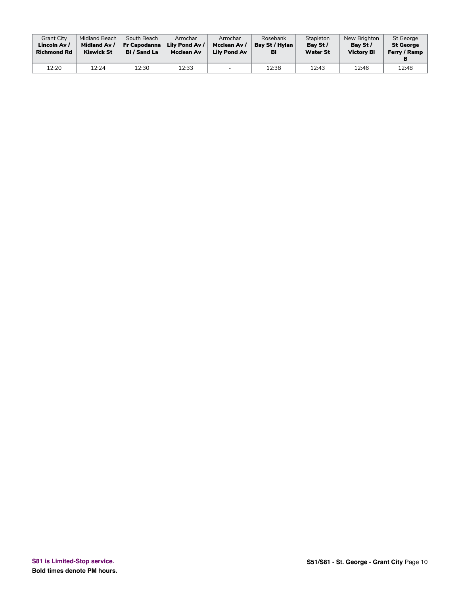| <b>Grant City</b>  | Midland Beach       | South Beach         | Arrochar          | Arrochar                 | Rosebank       | Stapleton       | New Brighton      | <b>St George</b> |
|--------------------|---------------------|---------------------|-------------------|--------------------------|----------------|-----------------|-------------------|------------------|
| Lincoln Av /       | <b>Midland Av /</b> | <b>Fr Capodanna</b> | Lily Pond Av /    | Mcclean Av /             | Bay St / Hylan | Bay St /        | Bay St /          | <b>St George</b> |
| <b>Richmond Rd</b> | <b>Kiswick St</b>   | <b>BI</b> / Sand La | <b>Mcclean Av</b> | <b>Lily Pond Av</b>      | BI             | <b>Water St</b> | <b>Victory BI</b> | Ferry / Ramp     |
| 12:20              | 12:24               | 12:30               | 12:33             | $\overline{\phantom{0}}$ | 12:38          | 12:43           | 12:46             | 12:48            |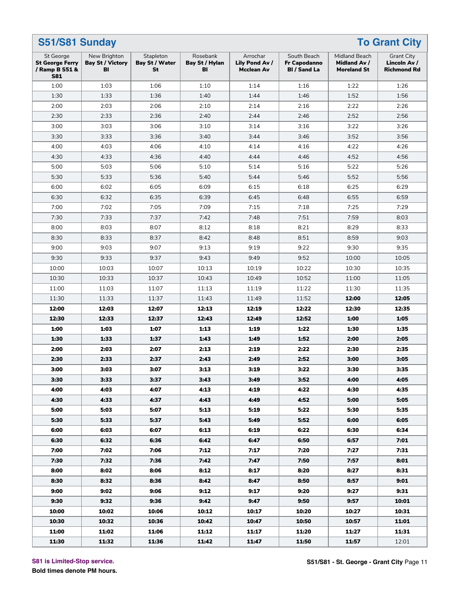| S51/S81 Sunday<br><b>To Grant City</b>                              |                                               |                                          |                                  |                                                 |                                                    |                                                     |                                                         |  |  |  |  |
|---------------------------------------------------------------------|-----------------------------------------------|------------------------------------------|----------------------------------|-------------------------------------------------|----------------------------------------------------|-----------------------------------------------------|---------------------------------------------------------|--|--|--|--|
| St George<br><b>St George Ferry</b><br>/ Ramp B S51 &<br><b>S81</b> | New Brighton<br><b>Bay St / Victory</b><br>BI | Stapleton<br><b>Bay St / Water</b><br>St | Rosebank<br>Bay St / Hylan<br>BI | Arrochar<br>Lily Pond Av /<br><b>Mcclean Av</b> | South Beach<br>Fr Capodanno<br><b>BI</b> / Sand La | Midland Beach<br>Midland Av /<br><b>Moreland St</b> | <b>Grant City</b><br>Lincoln Av /<br><b>Richmond Rd</b> |  |  |  |  |
| 1:00                                                                | 1:03                                          | 1:06                                     | 1:10                             | 1:14                                            | 1:16                                               | 1:22                                                | 1:26                                                    |  |  |  |  |
| 1:30                                                                | 1:33                                          | 1:36                                     | 1:40                             | 1:44                                            | 1:46                                               | 1:52                                                | 1:56                                                    |  |  |  |  |
| 2:00                                                                | 2:03                                          | 2:06                                     | 2:10                             | 2:14                                            | 2:16                                               | 2:22                                                | 2:26                                                    |  |  |  |  |
| 2:30                                                                | 2:33                                          | 2:36                                     | 2:40                             | 2:44                                            | 2:46                                               | 2:52                                                | 2:56                                                    |  |  |  |  |
| 3:00                                                                | 3:03                                          | 3:06                                     | 3:10                             | 3:14                                            | 3:16                                               | 3:22                                                | 3:26                                                    |  |  |  |  |
| 3:30                                                                | 3:33                                          | 3:36                                     | 3:40                             | 3:44                                            | 3:46                                               | 3:52                                                | 3:56                                                    |  |  |  |  |
| 4:00                                                                | 4:03                                          | 4:06                                     | 4:10                             | 4:14                                            | 4:16                                               | 4:22                                                | 4:26                                                    |  |  |  |  |
| 4:30                                                                | 4:33                                          | 4:36                                     | 4:40                             | 4:44                                            | 4:46                                               | 4:52                                                | 4:56                                                    |  |  |  |  |
| 5:00                                                                | 5:03                                          | 5:06                                     | 5:10                             | 5:14                                            | 5:16                                               | 5:22                                                | 5:26                                                    |  |  |  |  |
| 5:30                                                                | 5:33                                          | 5:36                                     | 5:40                             | 5:44                                            | 5:46                                               | 5:52                                                | 5:56                                                    |  |  |  |  |
| 6:00                                                                | 6:02                                          | 6:05                                     | 6:09                             | 6:15                                            | 6:18                                               | 6:25                                                | 6:29                                                    |  |  |  |  |
| 6:30                                                                | 6:32                                          | 6:35                                     | 6:39                             | 6:45                                            | 6:48                                               | 6:55                                                | 6:59                                                    |  |  |  |  |
| 7:00                                                                | 7:02                                          | 7:05                                     | 7:09                             | 7:15                                            | 7:18                                               | 7:25                                                | 7:29                                                    |  |  |  |  |
| 7:30                                                                | 7:33                                          | 7:37                                     | 7:42                             | 7:48                                            | 7:51                                               | 7:59                                                | 8:03                                                    |  |  |  |  |
| 8:00                                                                | 8:03                                          | 8:07                                     | 8:12                             | 8:18                                            | 8:21                                               | 8:29                                                | 8:33                                                    |  |  |  |  |
| 8:30                                                                | 8:33                                          | 8:37                                     | 8:42                             | 8:48                                            | 8:51                                               | 8:59                                                | 9:03                                                    |  |  |  |  |
| 9:00                                                                | 9:03                                          | 9:07                                     | 9:13                             | 9:19                                            | 9:22                                               | 9:30                                                | 9:35                                                    |  |  |  |  |
| 9:30                                                                | 9:33                                          | 9:37                                     | 9:43                             | 9:49                                            | 9:52                                               | 10:00                                               | 10:05                                                   |  |  |  |  |
| 10:00                                                               | 10:03                                         | 10:07                                    | 10:13                            | 10:19                                           | 10:22                                              | 10:30                                               | 10:35                                                   |  |  |  |  |
| 10:30                                                               | 10:33                                         | 10:37                                    | 10:43                            | 10:49                                           | 10:52                                              | 11:00                                               | 11:05                                                   |  |  |  |  |
| 11:00                                                               | 11:03                                         | 11:07                                    | 11:13                            | 11:19                                           | 11:22                                              | 11:30                                               | 11:35                                                   |  |  |  |  |
| 11:30                                                               | 11:33                                         | 11:37                                    | 11:43                            | 11:49                                           | 11:52                                              | 12:00                                               | 12:05                                                   |  |  |  |  |
| 12:00                                                               | 12:03                                         | 12:07                                    | 12:13                            | 12:19                                           | 12:22                                              | 12:30                                               | 12:35                                                   |  |  |  |  |
| 12:30                                                               | 12:33                                         | 12:37                                    | 12:43                            | 12:49                                           | 12:52                                              | 1:00                                                | 1:05                                                    |  |  |  |  |
| 1:00                                                                | 1:03                                          | 1:07                                     | 1:13                             | 1:19                                            | 1:22                                               | 1:30                                                | 1:35                                                    |  |  |  |  |
| 1:30                                                                | 1:33                                          | 1:37                                     | 1:43                             | 1:49                                            | 1:52                                               | 2:00                                                | 2:05                                                    |  |  |  |  |
| 2:00                                                                | 2:03                                          | 2:07                                     | 2:13                             | 2:19                                            | 2:22                                               | 2:30                                                | 2:35                                                    |  |  |  |  |
| 2:30                                                                | 2:33                                          | 2:37                                     | 2:43                             | 2:49                                            | 2:52                                               | 3:00                                                | 3:05                                                    |  |  |  |  |
| 3:00                                                                | 3:03                                          | 3:07                                     | 3:13                             | 3:19                                            | 3:22                                               | 3:30                                                | 3:35                                                    |  |  |  |  |
| 3:30                                                                | 3:33                                          | 3:37                                     | 3:43                             | 3:49                                            | 3:52                                               | 4:00                                                | 4:05                                                    |  |  |  |  |
| 4:00                                                                | 4:03                                          | 4:07                                     | 4:13                             | 4:19                                            | 4:22                                               | 4:30                                                | 4:35                                                    |  |  |  |  |
| 4:30                                                                | 4:33                                          | 4:37                                     | 4:43                             | 4:49                                            | 4:52                                               | 5:00                                                | 5:05                                                    |  |  |  |  |
| 5:00                                                                | 5:03                                          | 5:07                                     | 5:13                             | 5:19                                            | 5:22                                               | 5:30                                                | 5:35                                                    |  |  |  |  |
| 5:30                                                                | 5:33                                          | 5:37                                     | 5:43                             | 5:49                                            | 5:52                                               | 6:00                                                | 6:05                                                    |  |  |  |  |
| 6:00                                                                | 6:03                                          | 6:07                                     | 6:13                             | 6:19                                            | 6:22                                               | 6:30                                                | 6:34                                                    |  |  |  |  |
| 6:30                                                                | 6:32                                          | 6:36                                     | 6:42                             | 6:47                                            | 6:50                                               | 6:57                                                | 7:01                                                    |  |  |  |  |
| 7:00                                                                | 7:02                                          | 7:06                                     | 7:12                             | 7:17                                            | 7:20                                               | 7:27                                                | 7:31                                                    |  |  |  |  |
| 7:30                                                                | 7:32                                          | 7:36                                     | 7:42                             | 7:47                                            | 7:50                                               | 7:57                                                | 8:01                                                    |  |  |  |  |
| 8:00                                                                | 8:02                                          | 8:06                                     | 8:12                             | 8:17                                            | 8:20                                               | 8:27                                                | 8:31                                                    |  |  |  |  |
| 8:30                                                                | 8:32                                          | 8:36                                     | 8:42                             | 8:47                                            | 8:50                                               | 8:57                                                | 9:01                                                    |  |  |  |  |
| 9:00                                                                | 9:02                                          | 9:06                                     | 9:12                             | 9:17                                            | 9:20                                               | 9:27                                                | 9:31                                                    |  |  |  |  |
| 9:30                                                                | 9:32                                          | 9:36                                     | 9:42                             | 9:47                                            | 9:50                                               | 9:57                                                | 10:01                                                   |  |  |  |  |
| 10:00                                                               | 10:02                                         | 10:06                                    | 10:12                            | 10:17                                           | 10:20                                              | 10:27                                               | 10:31                                                   |  |  |  |  |
| 10:30                                                               | 10:32                                         | 10:36                                    | 10:42                            | 10:47                                           | 10:50                                              | 10:57                                               | 11:01                                                   |  |  |  |  |
| 11:00                                                               | 11:02                                         | 11:06                                    | 11:12                            | 11:17                                           | 11:20                                              | 11:27                                               | 11:31                                                   |  |  |  |  |
| 11:30                                                               | 11:32                                         | 11:36                                    | 11:42                            | 11:47                                           | 11:50                                              | 11:57                                               | 12:01                                                   |  |  |  |  |

**S81 is Limited-Stop service.**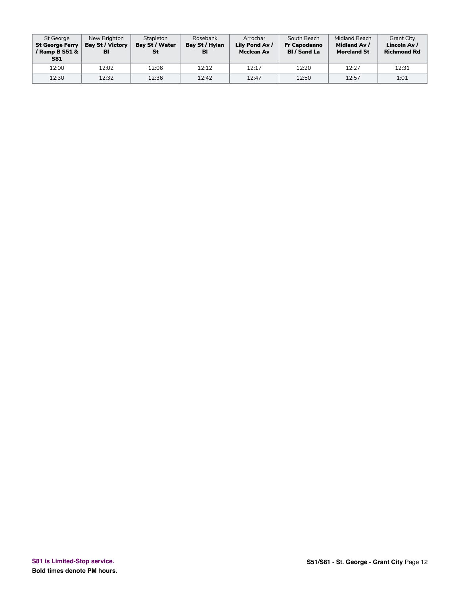| St George<br><b>St George Ferry</b><br>/ Ramp B S51 &<br><b>S81</b> | New Brighton<br><b>Bay St / Victory</b><br>BI | Stapleton<br>Bay St / Water<br>St | Rosebank<br>Bay St / Hylan<br>BI | Arrochar<br>Lily Pond Av /<br><b>Mcclean Av</b> | South Beach<br><b>Fr Capodanno</b><br><b>BI</b> / Sand La | Midland Beach<br>Midland Av /<br><b>Moreland St</b> | <b>Grant City</b><br>Lincoln Av /<br><b>Richmond Rd</b> |
|---------------------------------------------------------------------|-----------------------------------------------|-----------------------------------|----------------------------------|-------------------------------------------------|-----------------------------------------------------------|-----------------------------------------------------|---------------------------------------------------------|
| 12:00                                                               | 12:02                                         | 12:06                             | 12:12                            | 12:17                                           | 12:20                                                     | 12:27                                               | 12:31                                                   |
| 12:30                                                               | 12:32                                         | 12:36                             | 12:42                            | 12:47                                           | 12:50                                                     | 12:57                                               | 1:01                                                    |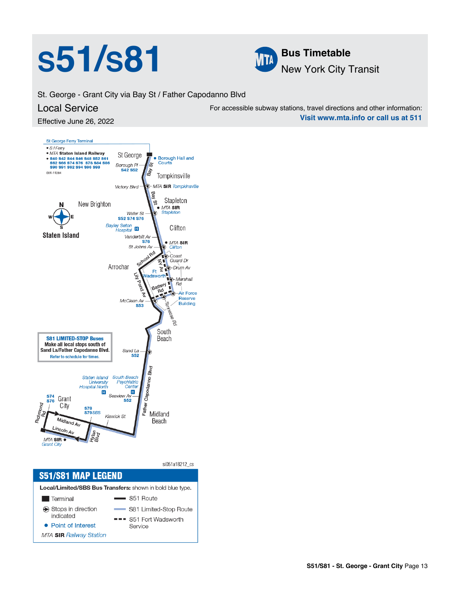# **S51/S81 Bus Timetable**



St. George - Grant City via Bay St / Father Capodanno Blvd

## Local Service

Effective June 26, 2022



si051a18212\_cs **S51/S81 MAP LEGEND** Local/Limited/SBS Bus Transfers: shown in bold blue type. S51 Route **Terminal** Stops in direction S81 Limited-Stop Route indicated --- S51 Fort Wadsworth • Point of Interest Service **MTA SIR Railway Station** 

For accessible subway stations, travel directions and other information: **Visit www.mta.info or call us at 511**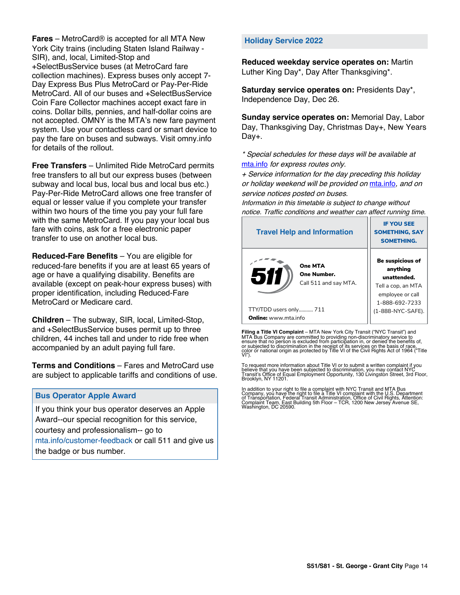**Fares** – MetroCard® is accepted for all MTA New York City trains (including Staten Island Railway - SIR), and, local, Limited-Stop and +SelectBusService buses (at MetroCard fare collection machines). Express buses only accept 7- Day Express Bus Plus MetroCard or Pay-Per-Ride MetroCard. All of our buses and +SelectBusService Coin Fare Collector machines accept exact fare in coins. Dollar bills, pennies, and half-dollar coins are not accepted. OMNY is the MTA's new fare payment system. Use your contactless card or smart device to pay the fare on buses and subways. Visit omny.info for details of the rollout.

**Free Transfers** – Unlimited Ride MetroCard permits free transfers to all but our express buses (between subway and local bus, local bus and local bus etc.) Pay-Per-Ride MetroCard allows one free transfer of equal or lesser value if you complete your transfer within two hours of the time you pay your full fare with the same MetroCard. If you pay your local bus fare with coins, ask for a free electronic paper transfer to use on another local bus.

**Reduced-Fare Benefits** – You are eligible for reduced-fare benefits if you are at least 65 years of age or have a qualifying disability. Benefits are available (except on peak-hour express buses) with proper identification, including Reduced-Fare MetroCard or Medicare card.

**Children** – The subway, SIR, local, Limited-Stop, and +SelectBusService buses permit up to three children, 44 inches tall and under to ride free when accompanied by an adult paying full fare.

**Terms and Conditions** – Fares and MetroCard use are subject to applicable tariffs and conditions of use.

### **Bus Operator Apple Award**

If you think your bus operator deserves an Apple Award--our special recognition for this service, courtesy and professionalism-- go to mta.info/customer-feedback or call 511 and give us the badge or bus number.

#### **Holiday Service 2022**

**Reduced weekday service operates on:** Martin Luther King Day\*, Day After Thanksgiving\*.

**Saturday service operates on:** Presidents Day\*, Independence Day, Dec 26.

**Sunday service operates on:** Memorial Day, Labor Day, Thanksgiving Day, Christmas Day+, New Years Day+.

\* Special schedules for these days will be available at [mta.info](https://new.mta.info/) for express routes only.

+ Service information for the day preceding this holiday or holiday weekend will be provided on [mta.info](https://new.mta.info/), and on service notices posted on buses.

Information in this timetable is subject to change without notice. Traffic conditions and weather can affect running time.

| <b>Travel Help and Information</b>                     | <b>IF YOU SEE</b><br><b>SOMETHING, SAY</b><br><b>SOMETHING.</b>                                                |
|--------------------------------------------------------|----------------------------------------------------------------------------------------------------------------|
| One MTA<br>511<br>One Number.<br>Call 511 and say MTA. | <b>Be suspicious of</b><br>anything<br>unattended.<br>Tell a cop, an MTA<br>employee or call<br>1-888-692-7233 |
| TTY/TDD users only 711                                 | (1-888-NYC-SAFE).                                                                                              |
| <b>Online:</b> www.mta.info                            |                                                                                                                |

**Filing a Title VI Complaint** – MTA New York City Transit ("NYC Transit") and<br>MTA Bus Company are committed to providing non-discriminatory service to<br>ensure that no person is excluded from participation in, or denied the

To request more information about Title VI or to submit a written complaint if you believe that you have been subjected to discrimination, you may contact NYC<br>Transit's Office of Equal Employment Opportunity, 130 Livingston Street, 3rd Floor,<br>Brooklyn, NY 11201.

In addition to your right to file a complaint with NYC Transit and MTA Bus<br>Company, you have the right to file a Title VI complaint with the U.S. Department<br>of Transportation, Federal Transit Administration, Office of Civi